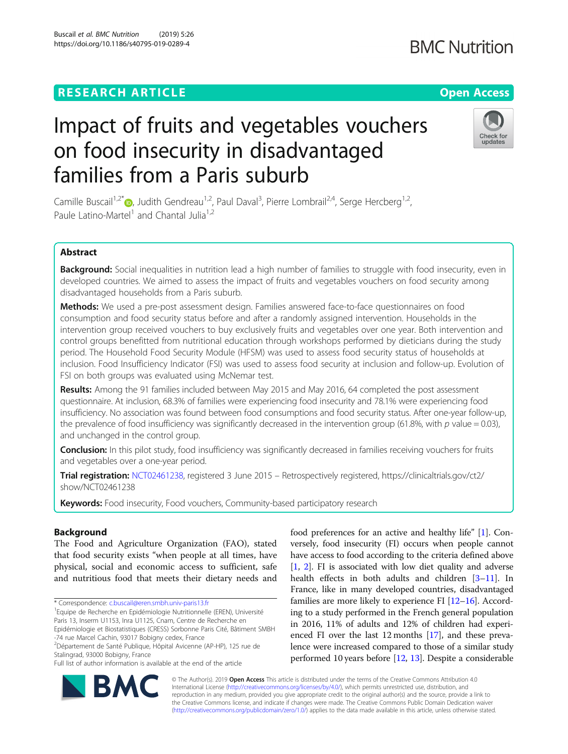## **RESEARCH ARTICLE Example 2014 12:30 The Contract of Contract ACCESS**

# Impact of fruits and vegetables vouchers on food insecurity in disadvantaged families from a Paris suburb

Camille Buscail<sup>1,2[\\*](http://orcid.org/0000-0002-6120-6497)</sup>®, Judith Gendreau<sup>1,2</sup>, Paul Daval<sup>3</sup>, Pierre Lombrail<sup>2,4</sup>, Serge Hercberg<sup>1,2</sup>, Paule Latino-Martel<sup>1</sup> and Chantal Julia<sup>1,2</sup>

## Abstract

Background: Social inequalities in nutrition lead a high number of families to struggle with food insecurity, even in developed countries. We aimed to assess the impact of fruits and vegetables vouchers on food security among disadvantaged households from a Paris suburb.

Methods: We used a pre-post assessment design. Families answered face-to-face questionnaires on food consumption and food security status before and after a randomly assigned intervention. Households in the intervention group received vouchers to buy exclusively fruits and vegetables over one year. Both intervention and control groups benefitted from nutritional education through workshops performed by dieticians during the study period. The Household Food Security Module (HFSM) was used to assess food security status of households at inclusion. Food Insufficiency Indicator (FSI) was used to assess food security at inclusion and follow-up. Evolution of FSI on both groups was evaluated using McNemar test.

Results: Among the 91 families included between May 2015 and May 2016, 64 completed the post assessment questionnaire. At inclusion, 68.3% of families were experiencing food insecurity and 78.1% were experiencing food insufficiency. No association was found between food consumptions and food security status. After one-year follow-up, the prevalence of food insufficiency was significantly decreased in the intervention group (61.8%, with  $p$  value = 0.03), and unchanged in the control group.

**Conclusion:** In this pilot study, food insufficiency was significantly decreased in families receiving vouchers for fruits and vegetables over a one-year period.

Trial registration: [NCT02461238](https://clinicaltrials.gov/ct2/show/NCT02461238), registered 3 June 2015 – Retrospectively registered, https://clinicaltrials.gov/ct2/ show/NCT02461238

Keywords: Food insecurity, Food vouchers, Community-based participatory research

## Background

The Food and Agriculture Organization (FAO), stated that food security exists "when people at all times, have physical, social and economic access to sufficient, safe and nutritious food that meets their dietary needs and

\* Correspondence: [c.buscail@eren.smbh.univ-paris13.fr](mailto:c.buscail@eren.smbh.univ-paris13.fr) <sup>1</sup>

RA

<sup>1</sup> Equipe de Recherche en Epidémiologie Nutritionnelle (EREN), Université Paris 13, Inserm U1153, Inra U1125, Cnam, Centre de Recherche en

Epidémiologie et Biostatistiques (CRESS) Sorbonne Paris Cité, Bâtiment SMBH -74 rue Marcel Cachin, 93017 Bobigny cedex, France

2 Département de Santé Publique, Hôpital Avicenne (AP-HP), 125 rue de Stalingrad, 93000 Bobigny, France

Full list of author information is available at the end of the article

food preferences for an active and healthy life" [\[1](#page-8-0)]. Conversely, food insecurity (FI) occurs when people cannot have access to food according to the criteria defined above [[1,](#page-8-0) [2\]](#page-8-0). FI is associated with low diet quality and adverse health effects in both adults and children [\[3](#page-8-0)–[11\]](#page-9-0). In France, like in many developed countries, disadvantaged families are more likely to experience FI [[12](#page-9-0)–[16\]](#page-9-0). According to a study performed in the French general population in 2016, 11% of adults and 12% of children had experienced FI over the last 12 months [\[17\]](#page-9-0), and these prevalence were increased compared to those of a similar study performed 10 years before [[12](#page-9-0), [13\]](#page-9-0). Despite a considerable

© The Author(s). 2019 **Open Access** This article is distributed under the terms of the Creative Commons Attribution 4.0 International License [\(http://creativecommons.org/licenses/by/4.0/](http://creativecommons.org/licenses/by/4.0/)), which permits unrestricted use, distribution, and reproduction in any medium, provided you give appropriate credit to the original author(s) and the source, provide a link to the Creative Commons license, and indicate if changes were made. The Creative Commons Public Domain Dedication waiver [\(http://creativecommons.org/publicdomain/zero/1.0/](http://creativecommons.org/publicdomain/zero/1.0/)) applies to the data made available in this article, unless otherwise stated.



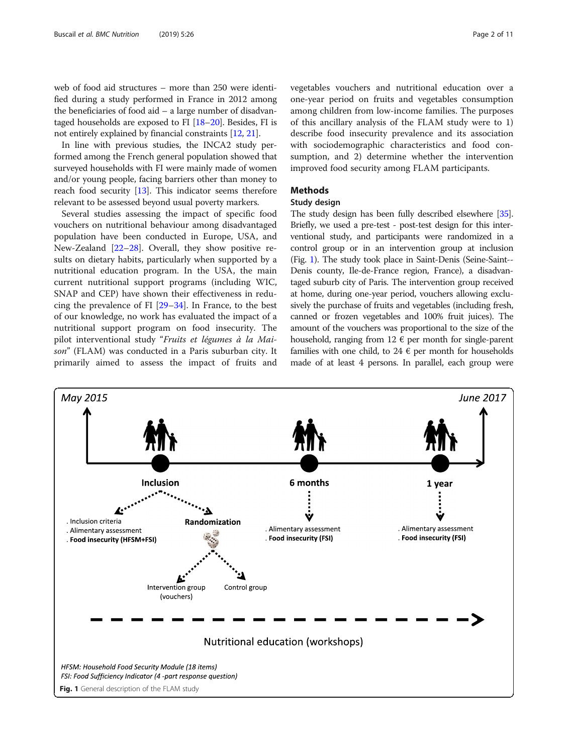web of food aid structures – more than 250 were identified during a study performed in France in 2012 among the beneficiaries of food aid – a large number of disadvantaged households are exposed to FI [\[18](#page-9-0)–[20](#page-9-0)]. Besides, FI is not entirely explained by financial constraints [\[12,](#page-9-0) [21](#page-9-0)].

In line with previous studies, the INCA2 study performed among the French general population showed that surveyed households with FI were mainly made of women and/or young people, facing barriers other than money to reach food security [\[13\]](#page-9-0). This indicator seems therefore relevant to be assessed beyond usual poverty markers.

Several studies assessing the impact of specific food vouchers on nutritional behaviour among disadvantaged population have been conducted in Europe, USA, and New-Zealand [[22](#page-9-0)–[28](#page-9-0)]. Overall, they show positive results on dietary habits, particularly when supported by a nutritional education program. In the USA, the main current nutritional support programs (including WIC, SNAP and CEP) have shown their effectiveness in reducing the prevalence of FI [[29](#page-9-0)–[34](#page-9-0)]. In France, to the best of our knowledge, no work has evaluated the impact of a nutritional support program on food insecurity. The pilot interventional study "Fruits et légumes à la Maison" (FLAM) was conducted in a Paris suburban city. It primarily aimed to assess the impact of fruits and vegetables vouchers and nutritional education over a one-year period on fruits and vegetables consumption among children from low-income families. The purposes of this ancillary analysis of the FLAM study were to 1) describe food insecurity prevalence and its association with sociodemographic characteristics and food consumption, and 2) determine whether the intervention improved food security among FLAM participants.

## **Methods**

## Study design

The study design has been fully described elsewhere [\[35](#page-9-0)]. Briefly, we used a pre-test - post-test design for this interventional study, and participants were randomized in a control group or in an intervention group at inclusion (Fig. 1). The study took place in Saint-Denis (Seine-Saint-- Denis county, Ile-de-France region, France), a disadvantaged suburb city of Paris. The intervention group received at home, during one-year period, vouchers allowing exclusively the purchase of fruits and vegetables (including fresh, canned or frozen vegetables and 100% fruit juices). The amount of the vouchers was proportional to the size of the household, ranging from  $12 \notin$  per month for single-parent families with one child, to 24  $\epsilon$  per month for households made of at least 4 persons. In parallel, each group were

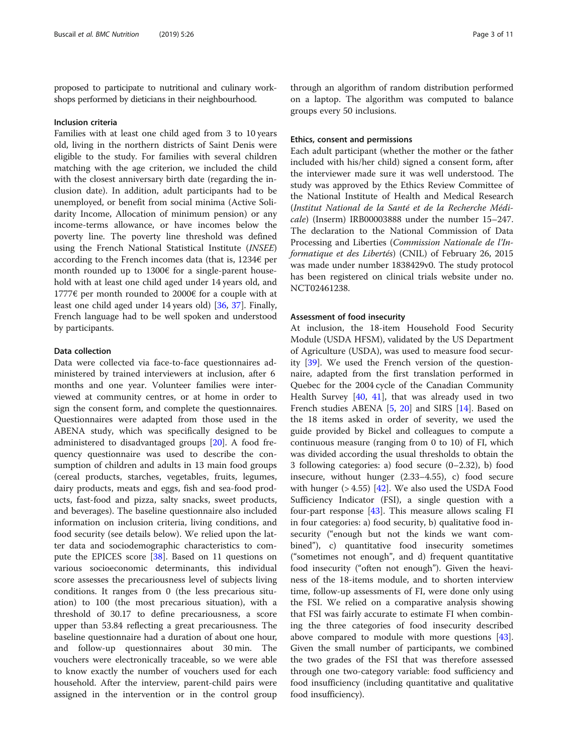proposed to participate to nutritional and culinary workshops performed by dieticians in their neighbourhood.

#### Inclusion criteria

Families with at least one child aged from 3 to 10 years old, living in the northern districts of Saint Denis were eligible to the study. For families with several children matching with the age criterion, we included the child with the closest anniversary birth date (regarding the inclusion date). In addition, adult participants had to be unemployed, or benefit from social minima (Active Solidarity Income, Allocation of minimum pension) or any income-terms allowance, or have incomes below the poverty line. The poverty line threshold was defined using the French National Statistical Institute (INSEE) according to the French incomes data (that is, 1234€ per month rounded up to 1300€ for a single-parent household with at least one child aged under 14 years old, and 1777€ per month rounded to 2000€ for a couple with at least one child aged under 14 years old) [[36](#page-9-0), [37\]](#page-9-0). Finally, French language had to be well spoken and understood by participants.

#### Data collection

Data were collected via face-to-face questionnaires administered by trained interviewers at inclusion, after 6 months and one year. Volunteer families were interviewed at community centres, or at home in order to sign the consent form, and complete the questionnaires. Questionnaires were adapted from those used in the ABENA study, which was specifically designed to be administered to disadvantaged groups [\[20\]](#page-9-0). A food frequency questionnaire was used to describe the consumption of children and adults in 13 main food groups (cereal products, starches, vegetables, fruits, legumes, dairy products, meats and eggs, fish and sea-food products, fast-food and pizza, salty snacks, sweet products, and beverages). The baseline questionnaire also included information on inclusion criteria, living conditions, and food security (see details below). We relied upon the latter data and sociodemographic characteristics to compute the EPICES score [[38\]](#page-9-0). Based on 11 questions on various socioeconomic determinants, this individual score assesses the precariousness level of subjects living conditions. It ranges from 0 (the less precarious situation) to 100 (the most precarious situation), with a threshold of 30.17 to define precariousness, a score upper than 53.84 reflecting a great precariousness. The baseline questionnaire had a duration of about one hour, and follow-up questionnaires about 30 min. The vouchers were electronically traceable, so we were able to know exactly the number of vouchers used for each household. After the interview, parent-child pairs were assigned in the intervention or in the control group

through an algorithm of random distribution performed on a laptop. The algorithm was computed to balance groups every 50 inclusions.

#### Ethics, consent and permissions

Each adult participant (whether the mother or the father included with his/her child) signed a consent form, after the interviewer made sure it was well understood. The study was approved by the Ethics Review Committee of the National Institute of Health and Medical Research (Institut National de la Santé et de la Recherche Médicale) (Inserm) IRB00003888 under the number 15–247. The declaration to the National Commission of Data Processing and Liberties (Commission Nationale de l'Informatique et des Libertés) (CNIL) of February 26, 2015 was made under number 1838429v0. The study protocol has been registered on clinical trials website under no. NCT02461238.

#### Assessment of food insecurity

At inclusion, the 18-item Household Food Security Module (USDA HFSM), validated by the US Department of Agriculture (USDA), was used to measure food security [[39\]](#page-9-0). We used the French version of the questionnaire, adapted from the first translation performed in Quebec for the 2004 cycle of the Canadian Community Health Survey [\[40](#page-9-0), [41](#page-9-0)], that was already used in two French studies ABENA [[5](#page-8-0), [20](#page-9-0)] and SIRS [\[14](#page-9-0)]. Based on the 18 items asked in order of severity, we used the guide provided by Bickel and colleagues to compute a continuous measure (ranging from 0 to 10) of FI, which was divided according the usual thresholds to obtain the 3 following categories: a) food secure (0–2.32), b) food insecure, without hunger (2.33–4.55), c) food secure with hunger  $(>4.55)$  [\[42\]](#page-9-0). We also used the USDA Food Sufficiency Indicator (FSI), a single question with a four-part response [[43\]](#page-9-0). This measure allows scaling FI in four categories: a) food security, b) qualitative food insecurity ("enough but not the kinds we want combined"), c) quantitative food insecurity sometimes ("sometimes not enough", and d) frequent quantitative food insecurity ("often not enough"). Given the heaviness of the 18-items module, and to shorten interview time, follow-up assessments of FI, were done only using the FSI. We relied on a comparative analysis showing that FSI was fairly accurate to estimate FI when combining the three categories of food insecurity described above compared to module with more questions [\[43](#page-9-0)]. Given the small number of participants, we combined the two grades of the FSI that was therefore assessed through one two-category variable: food sufficiency and food insufficiency (including quantitative and qualitative food insufficiency).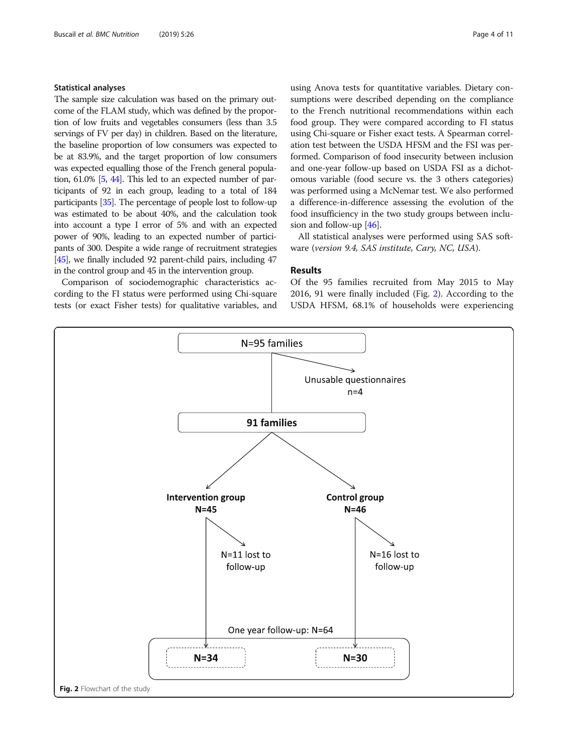### Statistical analyses

The sample size calculation was based on the primary outcome of the FLAM study, which was defined by the proportion of low fruits and vegetables consumers (less than 3.5 servings of FV per day) in children. Based on the literature, the baseline proportion of low consumers was expected to be at 83.9%, and the target proportion of low consumers was expected equalling those of the French general population, 61.0% [\[5,](#page-8-0) [44](#page-9-0)]. This led to an expected number of participants of 92 in each group, leading to a total of 184 participants [[35\]](#page-9-0). The percentage of people lost to follow-up was estimated to be about 40%, and the calculation took into account a type I error of 5% and with an expected power of 90%, leading to an expected number of participants of 300. Despite a wide range of recruitment strategies [[45\]](#page-9-0), we finally included 92 parent-child pairs, including 47 in the control group and 45 in the intervention group.

Comparison of sociodemographic characteristics according to the FI status were performed using Chi-square tests (or exact Fisher tests) for qualitative variables, and using Anova tests for quantitative variables. Dietary consumptions were described depending on the compliance to the French nutritional recommendations within each food group. They were compared according to FI status using Chi-square or Fisher exact tests. A Spearman correlation test between the USDA HFSM and the FSI was performed. Comparison of food insecurity between inclusion and one-year follow-up based on USDA FSI as a dichotomous variable (food secure vs. the 3 others categories) was performed using a McNemar test. We also performed a difference-in-difference assessing the evolution of the food insufficiency in the two study groups between inclusion and follow-up [\[46\]](#page-9-0).

All statistical analyses were performed using SAS software (version 9.4, SAS institute, Cary, NC, USA).

## Results

Of the 95 families recruited from May 2015 to May 2016, 91 were finally included (Fig. 2). According to the USDA HFSM, 68.1% of households were experiencing

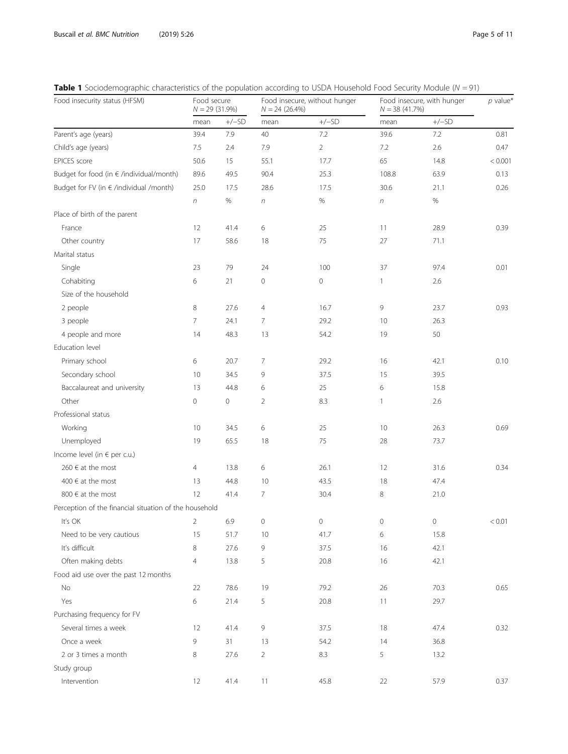<span id="page-4-0"></span>

|  |  |  |  | <b>Table 1</b> Sociodemographic characteristics of the population according to USDA Household Food Security Module ( $N = 91$ ) |
|--|--|--|--|---------------------------------------------------------------------------------------------------------------------------------|
|--|--|--|--|---------------------------------------------------------------------------------------------------------------------------------|

| Food insecurity status (HFSM)                          | Food secure<br>$N = 29(31.9\%)$ |             | Food insecure, without hunger<br>$N = 24(26.4%)$ |                | Food insecure, with hunger<br>$N = 38(41.7%)$ |         | $p$ value* |
|--------------------------------------------------------|---------------------------------|-------------|--------------------------------------------------|----------------|-----------------------------------------------|---------|------------|
|                                                        | mean                            | $+/-SD$     | mean                                             | $+/-SD$        | mean                                          | $+/-SD$ |            |
| Parent's age (years)                                   | 39.4                            | 7.9         | 40                                               | 7.2            | 39.6                                          | 7.2     | 0.81       |
| Child's age (years)                                    | 7.5                             | 2.4         | 7.9                                              | $\overline{2}$ | 7.2                                           | 2.6     | 0.47       |
| <b>EPICES</b> score                                    | 50.6                            | 15          | 55.1                                             | 17.7           | 65                                            | 14.8    | < 0.001    |
| Budget for food (in $\epsilon$ /individual/month)      | 89.6                            | 49.5        | 90.4                                             | 25.3           | 108.8                                         | 63.9    | 0.13       |
| Budget for FV (in € /individual /month)                | 25.0                            | 17.5        | 28.6                                             | 17.5           | 30.6                                          | 21.1    | 0.26       |
|                                                        | $\boldsymbol{n}$                | $\%$        | $\eta$                                           | $\%$           | $\boldsymbol{n}$                              | %       |            |
| Place of birth of the parent                           |                                 |             |                                                  |                |                                               |         |            |
| France                                                 | 12                              | 41.4        | 6                                                | 25             | 11                                            | 28.9    | 0.39       |
| Other country                                          | 17                              | 58.6        | 18                                               | 75             | 27                                            | 71.1    |            |
| Marital status                                         |                                 |             |                                                  |                |                                               |         |            |
| Single                                                 | 23                              | 79          | 24                                               | 100            | 37                                            | 97.4    | 0.01       |
| Cohabiting                                             | 6                               | 21          | $\mathbf 0$                                      | $\mathbf 0$    | 1                                             | 2.6     |            |
| Size of the household                                  |                                 |             |                                                  |                |                                               |         |            |
| 2 people                                               | 8                               | 27.6        | 4                                                | 16.7           | 9                                             | 23.7    | 0.93       |
| 3 people                                               | $\overline{7}$                  | 24.1        | 7                                                | 29.2           | 10                                            | 26.3    |            |
| 4 people and more                                      | 14                              | 48.3        | 13                                               | 54.2           | 19                                            | 50      |            |
| Education level                                        |                                 |             |                                                  |                |                                               |         |            |
| Primary school                                         | 6                               | 20.7        | 7                                                | 29.2           | 16                                            | 42.1    | 0.10       |
| Secondary school                                       | 10                              | 34.5        | 9                                                | 37.5           | 15                                            | 39.5    |            |
| Baccalaureat and university                            | 13                              | 44.8        | 6                                                | 25             | 6                                             | 15.8    |            |
| Other                                                  | $\mathbf 0$                     | $\mathbb O$ | $\overline{2}$                                   | 8.3            | 1                                             | 2.6     |            |
| Professional status                                    |                                 |             |                                                  |                |                                               |         |            |
| Working                                                | 10                              | 34.5        | 6                                                | 25             | 10                                            | 26.3    | 0.69       |
| Unemployed                                             | 19                              | 65.5        | 18                                               | 75             | 28                                            | 73.7    |            |
| Income level (in € per c.u.)                           |                                 |             |                                                  |                |                                               |         |            |
| 260 € at the most                                      | $\overline{4}$                  | 13.8        | 6                                                | 26.1           | 12                                            | 31.6    | 0.34       |
| 400 $\in$ at the most                                  | 13                              | 44.8        | 10                                               | 43.5           | 18                                            | 47.4    |            |
| 800 $\in$ at the most                                  | 12                              | 41.4        | 7                                                | 30.4           | 8                                             | 21.0    |            |
| Perception of the financial situation of the household |                                 |             |                                                  |                |                                               |         |            |
| It's OK                                                |                                 | 6.9         | 0                                                | 0              | 0                                             | 0       | < 0.01     |
| Need to be very cautious                               | 15                              | 51.7        | 10                                               | 41.7           | 6                                             | 15.8    |            |
| It's difficult                                         | 8                               | 27.6        | 9                                                | 37.5           | 16                                            | 42.1    |            |
| Often making debts                                     | 4                               | 13.8        | 5                                                | 20.8           | 16                                            | 42.1    |            |
| Food aid use over the past 12 months                   |                                 |             |                                                  |                |                                               |         |            |
| No                                                     | 22                              | 78.6        | 19                                               | 79.2           | 26                                            | 70.3    | 0.65       |
| Yes                                                    | 6                               | 21.4        | 5                                                | 20.8           | 11                                            | 29.7    |            |
| Purchasing frequency for FV                            |                                 |             |                                                  |                |                                               |         |            |
| Several times a week                                   | 12                              | 41.4        | 9                                                | 37.5           | 18                                            | 47.4    | 0.32       |
| Once a week                                            | 9                               | 31          | 13                                               | 54.2           | 14                                            | 36.8    |            |
| 2 or 3 times a month                                   | 8                               | 27.6        | $\overline{2}$                                   | 8.3            | 5                                             | 13.2    |            |
| Study group                                            |                                 |             |                                                  |                |                                               |         |            |
| Intervention                                           | 12                              | 41.4        | 11                                               | 45.8           | $22\,$                                        | 57.9    | 0.37       |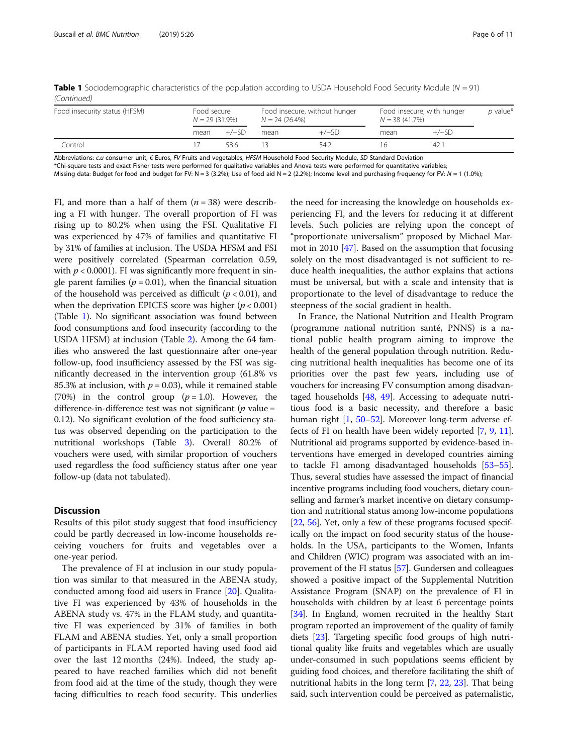**Table 1** Sociodemographic characteristics of the population according to USDA Household Food Security Module ( $N = 91$ ) (Continued)

| Food insecurity status (HFSM) |      | Food secure<br>$N = 29(31.9\%)$ |      | Food insecure, without hunger<br>$N = 24(26.4\%)$ |      | Food insecure, with hunger<br>$N = 38(41.7%)$ |  |
|-------------------------------|------|---------------------------------|------|---------------------------------------------------|------|-----------------------------------------------|--|
|                               | mean | $+/-SD$                         | mean | $+/-SD$                                           | mean | $+/-SD$                                       |  |
| Control                       |      | 58.6                            |      | 54.2                                              |      | 42.1                                          |  |

Abbreviations: c.u consumer unit, € Euros, FV Fruits and vegetables, HFSM Household Food Security Module, SD Standard Deviation

\*Chi-square tests and exact Fisher tests were performed for qualitative variables and Anova tests were performed for quantitative variables;

Missing data: Budget for food and budget for FV: N = 3 (3.2%); Use of food aid N = 2 (2.2%); Income level and purchasing frequency for FV: N = 1 (1.0%);

FI, and more than a half of them  $(n = 38)$  were describing a FI with hunger. The overall proportion of FI was rising up to 80.2% when using the FSI. Qualitative FI was experienced by 47% of families and quantitative FI by 31% of families at inclusion. The USDA HFSM and FSI were positively correlated (Spearman correlation 0.59, with  $p < 0.0001$ ). FI was significantly more frequent in single parent families ( $p = 0.01$ ), when the financial situation of the household was perceived as difficult ( $p < 0.01$ ), and when the deprivation EPICES score was higher  $(p < 0.001)$ (Table [1\)](#page-4-0). No significant association was found between food consumptions and food insecurity (according to the USDA HFSM) at inclusion (Table [2\)](#page-6-0). Among the 64 families who answered the last questionnaire after one-year follow-up, food insufficiency assessed by the FSI was significantly decreased in the intervention group (61.8% vs 85.3% at inclusion, with  $p = 0.03$ ), while it remained stable (70%) in the control group  $(p=1.0)$ . However, the difference-in-difference test was not significant ( $p$  value = 0.12). No significant evolution of the food sufficiency status was observed depending on the participation to the nutritional workshops (Table [3](#page-7-0)). Overall 80.2% of vouchers were used, with similar proportion of vouchers used regardless the food sufficiency status after one year follow-up (data not tabulated).

## **Discussion**

Results of this pilot study suggest that food insufficiency could be partly decreased in low-income households receiving vouchers for fruits and vegetables over a one-year period.

The prevalence of FI at inclusion in our study population was similar to that measured in the ABENA study, conducted among food aid users in France [[20\]](#page-9-0). Qualitative FI was experienced by 43% of households in the ABENA study vs. 47% in the FLAM study, and quantitative FI was experienced by 31% of families in both FLAM and ABENA studies. Yet, only a small proportion of participants in FLAM reported having used food aid over the last 12 months (24%). Indeed, the study appeared to have reached families which did not benefit from food aid at the time of the study, though they were facing difficulties to reach food security. This underlies

the need for increasing the knowledge on households experiencing FI, and the levers for reducing it at different levels. Such policies are relying upon the concept of "proportionate universalism" proposed by Michael Marmot in 2010 [[47\]](#page-9-0). Based on the assumption that focusing solely on the most disadvantaged is not sufficient to reduce health inequalities, the author explains that actions must be universal, but with a scale and intensity that is proportionate to the level of disadvantage to reduce the steepness of the social gradient in health.

In France, the National Nutrition and Health Program (programme national nutrition santé, PNNS) is a national public health program aiming to improve the health of the general population through nutrition. Reducing nutritional health inequalities has become one of its priorities over the past few years, including use of vouchers for increasing FV consumption among disadvantaged households  $[48, 49]$  $[48, 49]$  $[48, 49]$ . Accessing to adequate nutritious food is a basic necessity, and therefore a basic human right [[1](#page-8-0), [50](#page-9-0)–[52](#page-9-0)]. Moreover long-term adverse effects of FI on health have been widely reported [\[7](#page-8-0), [9](#page-8-0), [11](#page-9-0)]. Nutritional aid programs supported by evidence-based interventions have emerged in developed countries aiming to tackle FI among disadvantaged households [\[53](#page-9-0)–[55](#page-9-0)]. Thus, several studies have assessed the impact of financial incentive programs including food vouchers, dietary counselling and farmer's market incentive on dietary consumption and nutritional status among low-income populations [[22](#page-9-0), [56](#page-9-0)]. Yet, only a few of these programs focused specifically on the impact on food security status of the households. In the USA, participants to the Women, Infants and Children (WIC) program was associated with an improvement of the FI status [\[57\]](#page-9-0). Gundersen and colleagues showed a positive impact of the Supplemental Nutrition Assistance Program (SNAP) on the prevalence of FI in households with children by at least 6 percentage points [[34](#page-9-0)]. In England, women recruited in the healthy Start program reported an improvement of the quality of family diets [\[23\]](#page-9-0). Targeting specific food groups of high nutritional quality like fruits and vegetables which are usually under-consumed in such populations seems efficient by guiding food choices, and therefore facilitating the shift of nutritional habits in the long term [\[7,](#page-8-0) [22,](#page-9-0) [23\]](#page-9-0). That being said, such intervention could be perceived as paternalistic,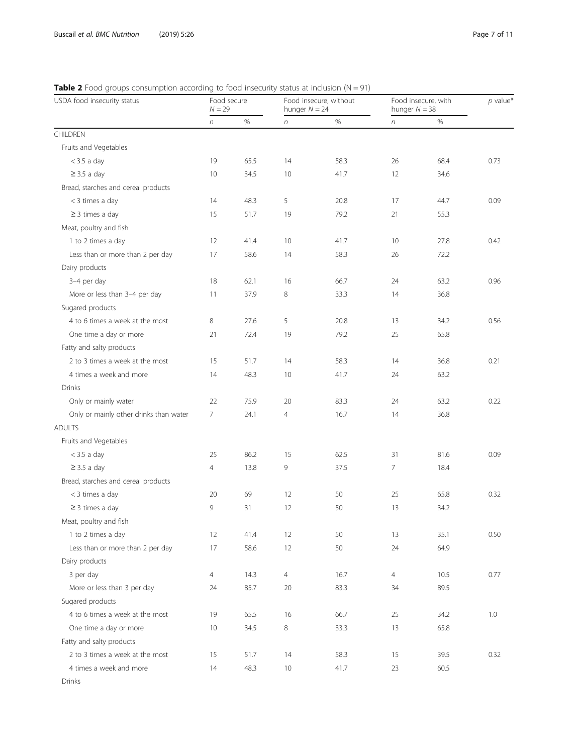## <span id="page-6-0"></span>**Table 2** Food groups consumption according to food insecurity status at inclusion ( $N = 91$ )

| USDA food insecurity status            | Food secure<br>$N = 29$ |      | Food insecure, without<br>hunger $N = 24$ |      | Food insecure, with<br>hunger $N = 38$ |      | $p$ value* |
|----------------------------------------|-------------------------|------|-------------------------------------------|------|----------------------------------------|------|------------|
|                                        | n                       | %    | n                                         | %    | n                                      | %    |            |
| CHILDREN                               |                         |      |                                           |      |                                        |      |            |
| Fruits and Vegetables                  |                         |      |                                           |      |                                        |      |            |
| $<$ 3.5 a day                          | 19                      | 65.5 | 14                                        | 58.3 | 26                                     | 68.4 | 0.73       |
| $\geq$ 3.5 a day                       | 10                      | 34.5 | 10                                        | 41.7 | 12                                     | 34.6 |            |
| Bread, starches and cereal products    |                         |      |                                           |      |                                        |      |            |
| < 3 times a day                        | 14                      | 48.3 | 5                                         | 20.8 | 17                                     | 44.7 | 0.09       |
| $\geq$ 3 times a day                   | 15                      | 51.7 | 19                                        | 79.2 | 21                                     | 55.3 |            |
| Meat, poultry and fish                 |                         |      |                                           |      |                                        |      |            |
| 1 to 2 times a day                     | 12                      | 41.4 | 10                                        | 41.7 | 10                                     | 27.8 | 0.42       |
| Less than or more than 2 per day       | 17                      | 58.6 | 14                                        | 58.3 | 26                                     | 72.2 |            |
| Dairy products                         |                         |      |                                           |      |                                        |      |            |
| 3-4 per day                            | 18                      | 62.1 | 16                                        | 66.7 | 24                                     | 63.2 | 0.96       |
| More or less than 3-4 per day          | 11                      | 37.9 | 8                                         | 33.3 | 14                                     | 36.8 |            |
| Sugared products                       |                         |      |                                           |      |                                        |      |            |
| 4 to 6 times a week at the most        | 8                       | 27.6 | 5                                         | 20.8 | 13                                     | 34.2 | 0.56       |
| One time a day or more                 | 21                      | 72.4 | 19                                        | 79.2 | 25                                     | 65.8 |            |
| Fatty and salty products               |                         |      |                                           |      |                                        |      |            |
| 2 to 3 times a week at the most        | 15                      | 51.7 | 14                                        | 58.3 | 14                                     | 36.8 | 0.21       |
| 4 times a week and more                | 14                      | 48.3 | 10                                        | 41.7 | 24                                     | 63.2 |            |
| Drinks                                 |                         |      |                                           |      |                                        |      |            |
| Only or mainly water                   | 22                      | 75.9 | 20                                        | 83.3 | 24                                     | 63.2 | 0.22       |
| Only or mainly other drinks than water | 7                       | 24.1 | 4                                         | 16.7 | 14                                     | 36.8 |            |
| <b>ADULTS</b>                          |                         |      |                                           |      |                                        |      |            |
| Fruits and Vegetables                  |                         |      |                                           |      |                                        |      |            |
| $<$ 3.5 a day                          | 25                      | 86.2 | 15                                        | 62.5 | 31                                     | 81.6 | 0.09       |
| $\geq$ 3.5 a day                       | $\overline{4}$          | 13.8 | 9                                         | 37.5 | 7                                      | 18.4 |            |
| Bread, starches and cereal products    |                         |      |                                           |      |                                        |      |            |
| < 3 times a day                        | 20                      | 69   | 12                                        | 50   | 25                                     | 65.8 | 0.32       |
| $\geq$ 3 times a day                   | 9                       | 31   | 12                                        | 50   | 13                                     | 34.2 |            |
| Meat, poultry and fish                 |                         |      |                                           |      |                                        |      |            |
| 1 to 2 times a day                     | 12                      | 41.4 | 12                                        | 50   | 13                                     | 35.1 | 0.50       |
| Less than or more than 2 per day       | 17                      | 58.6 | 12                                        | 50   | 24                                     | 64.9 |            |
| Dairy products                         |                         |      |                                           |      |                                        |      |            |
| 3 per day                              | 4                       | 14.3 | $\overline{4}$                            | 16.7 | 4                                      | 10.5 | 0.77       |
| More or less than 3 per day            | 24                      | 85.7 | 20                                        | 83.3 | 34                                     | 89.5 |            |
| Sugared products                       |                         |      |                                           |      |                                        |      |            |
| 4 to 6 times a week at the most        | 19                      | 65.5 | 16                                        | 66.7 | 25                                     | 34.2 | 1.0        |
| One time a day or more                 | 10                      | 34.5 | 8                                         | 33.3 | 13                                     | 65.8 |            |
| Fatty and salty products               |                         |      |                                           |      |                                        |      |            |
| 2 to 3 times a week at the most        | 15                      | 51.7 | 14                                        | 58.3 | 15                                     | 39.5 | 0.32       |
| 4 times a week and more                | 14                      | 48.3 | 10                                        | 41.7 | 23                                     | 60.5 |            |
| Drinks                                 |                         |      |                                           |      |                                        |      |            |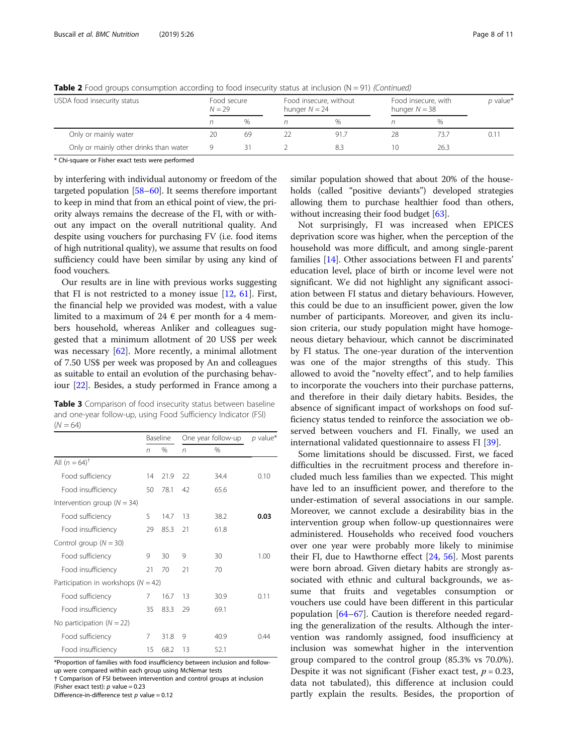| USDA food insecurity status            | Food secure<br>$N = 29$ |      | Food insecure, without<br>hunger $N = 24$ |     | Food insecure, with<br>hunger $N = 38$ |      | $p$ value* |  |
|----------------------------------------|-------------------------|------|-------------------------------------------|-----|----------------------------------------|------|------------|--|
|                                        |                         | $\%$ |                                           | %   |                                        | $\%$ |            |  |
| Only or mainly water                   | 20                      | 69   |                                           | 91. | 28                                     | 73.7 |            |  |
| Only or mainly other drinks than water |                         |      |                                           | 8.3 |                                        | 26.3 |            |  |

<span id="page-7-0"></span>**Table 2** Food groups consumption according to food insecurity status at inclusion ( $N = 91$ ) (Continued)

\* Chi-square or Fisher exact tests were performed

by interfering with individual autonomy or freedom of the targeted population [\[58](#page-10-0)–[60\]](#page-10-0). It seems therefore important to keep in mind that from an ethical point of view, the priority always remains the decrease of the FI, with or without any impact on the overall nutritional quality. And despite using vouchers for purchasing FV (i.e. food items of high nutritional quality), we assume that results on food sufficiency could have been similar by using any kind of food vouchers.

Our results are in line with previous works suggesting that FI is not restricted to a money issue [[12](#page-9-0), [61](#page-10-0)]. First, the financial help we provided was modest, with a value limited to a maximum of 24  $\epsilon$  per month for a 4 members household, whereas Anliker and colleagues suggested that a minimum allotment of 20 US\$ per week was necessary [[62](#page-10-0)]. More recently, a minimal allotment of 7.50 US\$ per week was proposed by An and colleagues as suitable to entail an evolution of the purchasing behaviour [[22](#page-9-0)]. Besides, a study performed in France among a

Table 3 Comparison of food insecurity status between baseline and one-year follow-up, using Food Sufficiency Indicator (FSI)  $(N = 64)$ 

|                                                  | Baseline              |                       | One year follow-up | $p$ value* |      |
|--------------------------------------------------|-----------------------|-----------------------|--------------------|------------|------|
|                                                  | n                     | %                     | $\sqrt{n}$         | $\%$       |      |
| All $(n = 64)^{+}$                               |                       |                       |                    |            |      |
| Food sufficiency                                 | 14                    | 21.9                  | 22                 | 34.4       | 0.10 |
| Food insufficiency                               | 50                    | 78.1                  | 42                 | 65.6       |      |
| Intervention group ( $N = 34$ )                  |                       |                       |                    |            |      |
| Food sufficiency                                 | 5                     | 14.7                  | 13                 | 38.2       | 0.03 |
| Food insufficiency                               | 29                    | 85.3                  | 21                 | 61.8       |      |
| Control group ( $N = 30$ )                       |                       |                       |                    |            |      |
| Food sufficiency                                 | 9                     | 30                    | 9                  | 30         | 1.00 |
| Food insufficiency                               | 21                    | 70                    | 21                 | 70         |      |
| Participation in workshops ( $N = 42$ )          |                       |                       |                    |            |      |
| Food sufficiency                                 | 7                     | 16.7                  | 13                 | 30.9       | 0.11 |
| Food insufficiency                               | 35                    | 83.3                  | 29                 | 69.1       |      |
| No participation ( $N = 22$ )                    |                       |                       |                    |            |      |
| Food sufficiency                                 | 7                     | 31.8                  | 9                  | 40.9       | 0.44 |
| Food insufficiency<br>$\cdots$ $\cdots$ $\cdots$ | 15<br>$\cdot$ $\cdot$ | 68.2<br>$\sim$ $\sim$ | 13                 | 52.1       |      |

\*Proportion of families with food insufficiency between inclusion and followup were compared within each group using McNemar tests † Comparison of FSI between intervention and control groups at inclusion

(Fisher exact test):  $p$  value = 0.23

Difference-in-difference test  $p$  value = 0.12

similar population showed that about 20% of the households (called "positive deviants") developed strategies allowing them to purchase healthier food than others, without increasing their food budget [\[63\]](#page-10-0).

Not surprisingly, FI was increased when EPICES deprivation score was higher, when the perception of the household was more difficult, and among single-parent families [\[14](#page-9-0)]. Other associations between FI and parents' education level, place of birth or income level were not significant. We did not highlight any significant association between FI status and dietary behaviours. However, this could be due to an insufficient power, given the low number of participants. Moreover, and given its inclusion criteria, our study population might have homogeneous dietary behaviour, which cannot be discriminated by FI status. The one-year duration of the intervention was one of the major strengths of this study. This allowed to avoid the "novelty effect", and to help families to incorporate the vouchers into their purchase patterns, and therefore in their daily dietary habits. Besides, the absence of significant impact of workshops on food sufficiency status tended to reinforce the association we observed between vouchers and FI. Finally, we used an international validated questionnaire to assess FI [\[39](#page-9-0)].

Some limitations should be discussed. First, we faced difficulties in the recruitment process and therefore included much less families than we expected. This might have led to an insufficient power, and therefore to the under-estimation of several associations in our sample. Moreover, we cannot exclude a desirability bias in the intervention group when follow-up questionnaires were administered. Households who received food vouchers over one year were probably more likely to minimise their FI, due to Hawthorne effect [[24,](#page-9-0) [56\]](#page-9-0). Most parents were born abroad. Given dietary habits are strongly associated with ethnic and cultural backgrounds, we assume that fruits and vegetables consumption or vouchers use could have been different in this particular population [\[64](#page-10-0)–[67](#page-10-0)]. Caution is therefore needed regarding the generalization of the results. Although the intervention was randomly assigned, food insufficiency at inclusion was somewhat higher in the intervention group compared to the control group (85.3% vs 70.0%). Despite it was not significant (Fisher exact test,  $p = 0.23$ , data not tabulated), this difference at inclusion could partly explain the results. Besides, the proportion of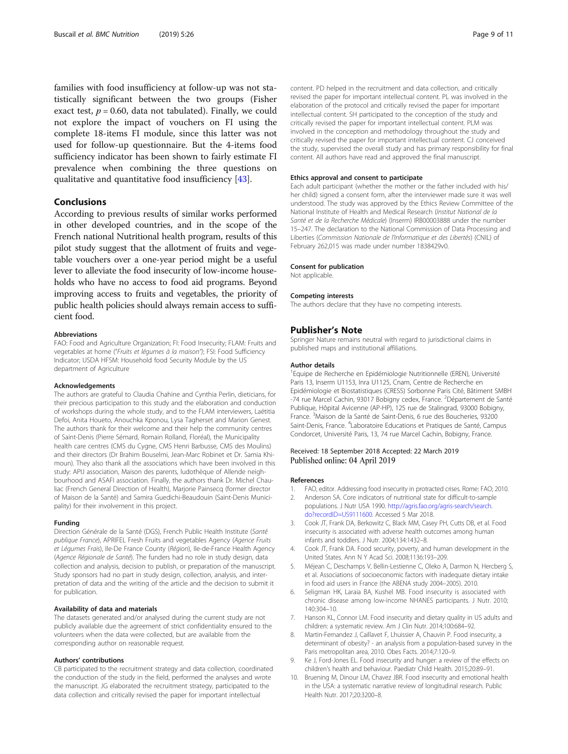<span id="page-8-0"></span>families with food insufficiency at follow-up was not statistically significant between the two groups (Fisher exact test,  $p = 0.60$ , data not tabulated). Finally, we could not explore the impact of vouchers on FI using the complete 18-items FI module, since this latter was not used for follow-up questionnaire. But the 4-items food sufficiency indicator has been shown to fairly estimate FI prevalence when combining the three questions on qualitative and quantitative food insufficiency [\[43](#page-9-0)].

## Conclusions

According to previous results of similar works performed in other developed countries, and in the scope of the French national Nutritional health program, results of this pilot study suggest that the allotment of fruits and vegetable vouchers over a one-year period might be a useful lever to alleviate the food insecurity of low-income households who have no access to food aid programs. Beyond improving access to fruits and vegetables, the priority of public health policies should always remain access to sufficient food.

#### Abbreviations

FAO: Food and Agriculture Organization; FI: Food Insecurity; FLAM: Fruits and vegetables at home ("Fruits et légumes à la maison"); FSI: Food Sufficiency Indicator; USDA HFSM: Household food Security Module by the US department of Agriculture

#### Acknowledgements

The authors are grateful to Claudia Chahine and Cynthia Perlin, dieticians, for their precious participation to this study and the elaboration and conduction of workshops during the whole study, and to the FLAM interviewers, Laëtitia Defoi, Anita Houeto, Anouchka Kponou, Lysa Tagherset and Marion Genest. The authors thank for their welcome and their help the community centres of Saint-Denis (Pierre Sémard, Romain Rolland, Floréal), the Municipality health care centres (CMS du Cygne, CMS Henri Barbusse, CMS des Moulins) and their directors (Dr Brahim Bouselmi, Jean-Marc Robinet et Dr. Samia Khimoun). They also thank all the associations which have been involved in this study: APIJ association, Maison des parents, ludothèque of Allende neighbourhood and ASAFI association. Finally, the authors thank Dr. Michel Chauliac (French General Direction of Health), Marjorie Painsecq (former director of Maison de la Santé) and Samira Guedichi-Beaudouin (Saint-Denis Municipality) for their involvement in this project.

#### Funding

Direction Générale de la Santé (DGS), French Public Health Institute (Santé publique France), APRIFEL Fresh Fruits and vegetables Agency (Agence Fruits et Légumes Frais), Ile-De France County (Région), Ile-de-France Health Agency (Agence Régionale de Santé). The funders had no role in study design, data collection and analysis, decision to publish, or preparation of the manuscript. Study sponsors had no part in study design, collection, analysis, and interpretation of data and the writing of the article and the decision to submit it for publication.

#### Availability of data and materials

The datasets generated and/or analysed during the current study are not publicly available due the agreement of strict confidentiality ensured to the volunteers when the data were collected, but are available from the corresponding author on reasonable request.

#### Authors' contributions

CB participated to the recruitment strategy and data collection, coordinated the conduction of the study in the field, performed the analyses and wrote the manuscript. JG elaborated the recruitment strategy, participated to the data collection and critically revised the paper for important intellectual

content. PD helped in the recruitment and data collection, and critically revised the paper for important intellectual content. PL was involved in the elaboration of the protocol and critically revised the paper for important intellectual content. SH participated to the conception of the study and critically revised the paper for important intellectual content. PLM was involved in the conception and methodology throughout the study and critically revised the paper for important intellectual content. CJ conceived the study, supervised the overall study and has primary responsibility for final content. All authors have read and approved the final manuscript.

#### Ethics approval and consent to participate

Each adult participant (whether the mother or the father included with his/ her child) signed a consent form, after the interviewer made sure it was well understood. The study was approved by the Ethics Review Committee of the National Institute of Health and Medical Research (Institut National de la Santé et de la Recherche Médicale) (Inserm) IRB00003888 under the number 15–247. The declaration to the National Commission of Data Processing and Liberties (Commission Nationale de l'Informatique et des Libertés) (CNIL) of February 262,015 was made under number 1838429v0.

#### Consent for publication

Not applicable.

#### Competing interests

The authors declare that they have no competing interests.

#### Publisher's Note

Springer Nature remains neutral with regard to jurisdictional claims in published maps and institutional affiliations.

#### Author details

<sup>1</sup> Equipe de Recherche en Epidémiologie Nutritionnelle (EREN), Université Paris 13, Inserm U1153, Inra U1125, Cnam, Centre de Recherche en Epidémiologie et Biostatistiques (CRESS) Sorbonne Paris Cité, Bâtiment SMBH -74 rue Marcel Cachin, 93017 Bobigny cedex, France. <sup>2</sup>Département de Santé Publique, Hôpital Avicenne (AP-HP), 125 rue de Stalingrad, 93000 Bobigny, France. <sup>3</sup>Maison de la Santé de Saint-Denis, 6 rue des Boucheries, 93200 Saint-Denis, France. <sup>4</sup>Laboratoire Educations et Pratiques de Santé, Campus Condorcet, Université Paris, 13, 74 rue Marcel Cachin, Bobigny, France.

#### Received: 18 September 2018 Accepted: 22 March 2019 Published online: 04 April 2019

#### References

- 1. FAO, editor. Addressing food insecurity in protracted crises. Rome: FAO; 2010.
- 2. Anderson SA. Core indicators of nutritional state for difficult-to-sample populations. J Nutr USA 1990. [http://agris.fao.org/agris-search/search.](http://agris.fao.org/agris-search/search.do?recordID=US9111600) [do?recordID=US9111600](http://agris.fao.org/agris-search/search.do?recordID=US9111600). Accessed 5 Mar 2018.
- 3. Cook JT, Frank DA, Berkowitz C, Black MM, Casey PH, Cutts DB, et al. Food insecurity is associated with adverse health outcomes among human infants and toddlers. J Nutr. 2004;134:1432–8.
- 4. Cook JT, Frank DA. Food security, poverty, and human development in the United States. Ann N Y Acad Sci. 2008;1136:193–209.
- 5. Méjean C, Deschamps V, Bellin-Lestienne C, Oleko A, Darmon N, Hercberg S, et al. Associations of socioeconomic factors with inadequate dietary intake in food aid users in France (the ABENA study 2004–2005). 2010.
- 6. Seligman HK, Laraia BA, Kushel MB. Food insecurity is associated with chronic disease among low-income NHANES participants. J Nutr. 2010; 140:304–10.
- 7. Hanson KL, Connor LM. Food insecurity and dietary quality in US adults and children: a systematic review. Am J Clin Nutr. 2014;100:684–92.
- 8. Martin-Fernandez J, Caillavet F, Lhuissier A, Chauvin P. Food insecurity, a determinant of obesity? - an analysis from a population-based survey in the Paris metropolitan area, 2010. Obes Facts. 2014;7:120–9.
- 9. Ke J, Ford-Jones EL. Food insecurity and hunger: a review of the effects on children's health and behaviour. Paediatr Child Health. 2015;20:89–91.
- 10. Bruening M, Dinour LM, Chavez JBR. Food insecurity and emotional health in the USA: a systematic narrative review of longitudinal research. Public Health Nutr. 2017;20:3200–8.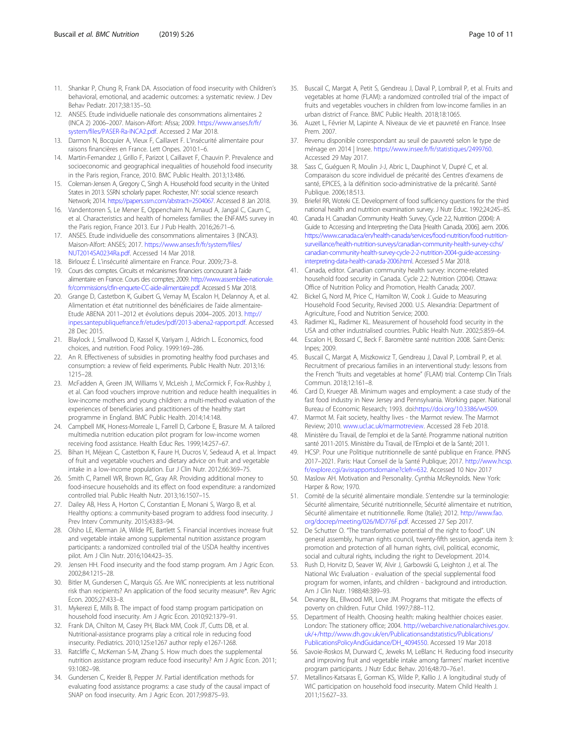- <span id="page-9-0"></span>11. Shankar P, Chung R, Frank DA. Association of food insecurity with Children's behavioral, emotional, and academic outcomes: a systematic review. J Dev Behav Pediatr. 2017;38:135–50.
- 12. ANSES. Etude individuelle nationale des consommations alimentaires 2 (INCA 2) 2006–2007. Maison-Alfort: Afssa; 2009. [https://www.anses.fr/fr/](https://www.anses.fr/fr/system/files/PASER-Ra-INCA2.pdf) [system/files/PASER-Ra-INCA2.pdf](https://www.anses.fr/fr/system/files/PASER-Ra-INCA2.pdf). Accessed 2 Mar 2018.
- 13. Darmon N, Bocquier A, Vieux F, Caillavet F. L'insécurité alimentaire pour raisons financières en France. Lett Onpes. 2010:1–6.
- 14. Martin-Fernandez J, Grillo F, Parizot I, Caillavet F, Chauvin P. Prevalence and socioeconomic and geographical inequalities of household food insecurity in the Paris region, France, 2010. BMC Public Health. 2013;13:486.
- 15. Coleman-Jensen A, Gregory C, Singh A. Household food security in the United States in 2013. SSRN scholarly paper. Rochester, NY: social science research Network; 2014. <https://papers.ssrn.com/abstract=2504067>. Accessed 8 Jan 2018.
- 16. Vandentorren S, Le Mener E, Oppenchaim N, Arnaud A, Jangal C, Caum C, et al. Characteristics and health of homeless families: the ENFAMS survey in the Paris region, France 2013. Eur J Pub Health. 2016;26:71–6.
- 17. ANSES. Etude individuelle des consommations alimentaires 3 (INCA3). Maison-Alfort: ANSES; 2017. [https://www.anses.fr/fr/system/files/](https://www.anses.fr/fr/system/files/NUT2014SA0234Ra.pdf) [NUT2014SA0234Ra.pdf](https://www.anses.fr/fr/system/files/NUT2014SA0234Ra.pdf). Accessed 14 Mar 2018.
- 18. Birlouez É. L'insécurité alimentaire en France. Pour. 2009;:73–8.
- 19. Cours des comptes. Circuits et mécanismes financiers concourant à l'aide alimentaire en France. Cours des comptes; 2009. [http://www.assemblee-nationale.](http://www.assemblee-nationale.fr/commissions/cfin-enquete-CC-aide-alimentaire.pdf) [fr/commissions/cfin-enquete-CC-aide-alimentaire.pdf](http://www.assemblee-nationale.fr/commissions/cfin-enquete-CC-aide-alimentaire.pdf). Accessed 5 Mar 2018.
- 20. Grange D, Castetbon K, Guibert G, Vernay M, Escalon H, Delannoy A, et al. Alimentation et état nutritionnel des bénéficiaires de l'aide alimentaire-Etude ABENA 2011–2012 et évolutions depuis 2004–2005. 2013. [http://](http://inpes.santepubliquefrance.fr/etudes/pdf/2013-abena2-rapport.pdf) [inpes.santepubliquefrance.fr/etudes/pdf/2013-abena2-rapport.pdf.](http://inpes.santepubliquefrance.fr/etudes/pdf/2013-abena2-rapport.pdf) Accessed 28 Dec 2015.
- 21. Blaylock J, Smallwood D, Kassel K, Variyam J, Aldrich L. Economics, food choices, and nutrition. Food Policy. 1999:169–286.
- 22. An R. Effectiveness of subsidies in promoting healthy food purchases and consumption: a review of field experiments. Public Health Nutr. 2013;16: 1215–28.
- 23. McFadden A, Green JM, Williams V, McLeish J, McCormick F, Fox-Rushby J, et al. Can food vouchers improve nutrition and reduce health inequalities in low-income mothers and young children: a multi-method evaluation of the experiences of beneficiaries and practitioners of the healthy start programme in England. BMC Public Health. 2014;14:148.
- 24. Campbell MK, Honess-Morreale L, Farrell D, Carbone E, Brasure M. A tailored multimedia nutrition education pilot program for low-income women receiving food assistance. Health Educ Res. 1999;14:257–67.
- 25. Bihan H, Méjean C, Castetbon K, Faure H, Ducros V, Sedeaud A, et al. Impact of fruit and vegetable vouchers and dietary advice on fruit and vegetable intake in a low-income population. Eur J Clin Nutr. 2012;66:369–75.
- 26. Smith C, Parnell WR, Brown RC, Gray AR. Providing additional money to food-insecure households and its effect on food expenditure: a randomized controlled trial. Public Health Nutr. 2013;16:1507–15.
- 27. Dailey AB, Hess A, Horton C, Constantian E, Monani S, Wargo B, et al. Healthy options: a community-based program to address food insecurity. J Prev Interv Community. 2015;43:83–94.
- 28. Olsho LE, Klerman JA, Wilde PE, Bartlett S. Financial incentives increase fruit and vegetable intake among supplemental nutrition assistance program participants: a randomized controlled trial of the USDA healthy incentives pilot. Am J Clin Nutr. 2016;104:423–35.
- 29. Jensen HH. Food insecurity and the food stamp program. Am J Agric Econ. 2002;84:1215–28.
- 30. Bitler M, Gundersen C, Marquis GS. Are WIC nonrecipients at less nutritional risk than recipients? An application of the food security measure\*. Rev Agric Econ. 2005;27:433–8.
- 31. Mykerezi E, Mills B. The impact of food stamp program participation on household food insecurity. Am J Agric Econ. 2010;92:1379–91.
- 32. Frank DA, Chilton M, Casey PH, Black MM, Cook JT, Cutts DB, et al. Nutritional-assistance programs play a critical role in reducing food insecurity. Pediatrics. 2010;125:e1267 author reply e1267-1268.
- 33. Ratcliffe C, McKernan S-M, Zhang S. How much does the supplemental nutrition assistance program reduce food insecurity? Am J Agric Econ. 2011; 93:1082–98.
- 34. Gundersen C, Kreider B, Pepper JV. Partial identification methods for evaluating food assistance programs: a case study of the causal impact of SNAP on food insecurity. Am J Agric Econ. 2017;99:875–93.
- 35. Buscail C, Margat A, Petit S, Gendreau J, Daval P, Lombrail P, et al. Fruits and vegetables at home (FLAM): a randomized controlled trial of the impact of fruits and vegetables vouchers in children from low-income families in an urban district of France. BMC Public Health. 2018;18:1065.
- 36. Auzet L, Février M, Lapinte A. Niveaux de vie et pauvreté en France. Insee Prem. 2007.
- 37. Revenu disponible correspondant au seuil de pauvreté selon le type de ménage en 2014 | Insee. [https://www.insee.fr/fr/statistiques/2499760.](https://www.insee.fr/fr/statistiques/2499760) Accessed 29 May 2017.
- 38. Sass C, Guéguen R, Moulin J-J, Abric L, Dauphinot V, Dupré C, et al. Comparaison du score individuel de précarité des Centres d'examens de santé, EPICES, à la définition socio-administrative de la précarité. Santé Publique. 2006;18:513.
- 39. Briefel RR, Woteki CE. Development of food sufficiency questions for the third national health and nutrition examination survey. J Nutr Educ. 1992;24:24S–8S.
- 40. Canada H. Canadian Community Health Survey, Cycle 2.2, Nutrition (2004): A Guide to Accessing and Interpreting the Data [Health Canada, 2006]. aem. 2006. [https://www.canada.ca/en/health-canada/services/food-nutrition/food-nutrition](https://www.canada.ca/en/health-canada/services/food-nutrition/food-nutrition-surveillance/health-nutrition-surveys/canadian-community-health-survey-cchs/canadian-community-health-survey-cycle-2-2-nutrition-2004-guide-accessing-interpreting-data-health-canada-2006.html)[surveillance/health-nutrition-surveys/canadian-community-health-survey-cchs/](https://www.canada.ca/en/health-canada/services/food-nutrition/food-nutrition-surveillance/health-nutrition-surveys/canadian-community-health-survey-cchs/canadian-community-health-survey-cycle-2-2-nutrition-2004-guide-accessing-interpreting-data-health-canada-2006.html) [canadian-community-health-survey-cycle-2-2-nutrition-2004-guide-accessing](https://www.canada.ca/en/health-canada/services/food-nutrition/food-nutrition-surveillance/health-nutrition-surveys/canadian-community-health-survey-cchs/canadian-community-health-survey-cycle-2-2-nutrition-2004-guide-accessing-interpreting-data-health-canada-2006.html)[interpreting-data-health-canada-2006.html](https://www.canada.ca/en/health-canada/services/food-nutrition/food-nutrition-surveillance/health-nutrition-surveys/canadian-community-health-survey-cchs/canadian-community-health-survey-cycle-2-2-nutrition-2004-guide-accessing-interpreting-data-health-canada-2006.html). Accessed 5 Mar 2018.
- 41. Canada, editor. Canadian community health survey: income-related household food security in Canada. Cycle 2.2: Nutrition (2004). Ottawa: Office of Nutrition Policy and Promotion, Health Canada; 2007.
- Bickel G, Nord M, Price C, Hamilton W, Cook J. Guide to Measuring Household Food Security, Revised 2000. U.S. Alexandria: Department of Agriculture, Food and Nutrition Service; 2000.
- 43. Radimer KL, Radimer KL. Measurement of household food security in the USA and other industrialised countries. Public Health Nutr. 2002;5:859–64.
- 44. Escalon H, Bossard C, Beck F. Baromètre santé nutrition 2008. Saint-Denis: Inpes; 2009.
- 45. Buscail C, Margat A, Miszkowicz T, Gendreau J, Daval P, Lombrail P, et al. Recruitment of precarious families in an interventional study: lessons from the French "fruits and vegetables at home" (FLAM) trial. Contemp Clin Trials Commun. 2018;12:161–8.
- 46. Card D, Krueger AB. Minimum wages and employment: a case study of the fast food industry in New Jersey and Pennsylvania. Working paper. National Bureau of Economic Research; 1993. doi[:https://doi.org/10.3386/w4509](https://doi.org/10.3386/w4509).
- 47. Marmot M. Fait society, healthy lives the Marmot review. The Marmot Review; 2010. [www.ucl.ac.uk/marmotreview](http://www.ucl.ac.uk/marmotreview). Accessed 28 Feb 2018.
- 48. Ministère du Travail, de l'emploi et de la Santé. Programme national nutrition santé 2011-2015. Ministère du Travail, de l'Emploi et de la Santé; 2011.
- 49. HCSP. Pour une Politique nutritionnelle de santé publique en France. PNNS 2017–2021. Paris: Haut Conseil de la Santé Publique; 2017. [http://www.hcsp.](http://www.hcsp.fr/explore.cgi/avisrapportsdomaine?clefr=632) [fr/explore.cgi/avisrapportsdomaine?clefr=632.](http://www.hcsp.fr/explore.cgi/avisrapportsdomaine?clefr=632) Accessed 10 Nov 2017
- 50. Maslow AH. Motivation and Personality. Cynthia McReynolds. New York: Harper & Row: 1970.
- 51. Comité de la sécurité alimentaire mondiale. S'entendre sur la terminologie: Sécurité alimentaire, Sécurité nutritionnelle, Sécurité alimentaire et nutrition, Sécurité alimentaire et nutritionnelle. Rome (Italie); 2012. [http://www.fao.](http://www.fao.org/docrep/meeting/026/MD776F.pdf) [org/docrep/meeting/026/MD776F.pdf.](http://www.fao.org/docrep/meeting/026/MD776F.pdf) Accessed 27 Sep 2017.
- 52. De Schutter O. "The transformative potential of the right to food". UN general assembly, human rights council, twenty-fifth session, agenda item 3: promotion and protection of all human rights, civil, political, economic, social and cultural rights, including the right to Development. 2014.
- 53. Rush D, Horvitz D, Seaver W, Alvir J, Garbowski G, Leighton J, et al. The National Wic Evaluation - evaluation of the special supplemental food program for women, infants, and children - background and introduction. Am J Clin Nutr. 1988;48:389–93.
- 54. Devaney BL, Ellwood MR, Love JM. Programs that mitigate the effects of poverty on children. Futur Child. 1997;7:88–112.
- 55. Department of Health. Choosing health: making healthier choices easier. London: The stationery office; 2004. [http://webarchive.nationalarchives.gov.](http://webarchive.nationalarchives.gov.uk/+/http://www.dh.gov.uk/en/Publicationsandstatistics/Publications/PublicationsPolicyAndGuidance/DH_4094550) [uk/+/http://www.dh.gov.uk/en/Publicationsandstatistics/Publications/](http://webarchive.nationalarchives.gov.uk/+/http://www.dh.gov.uk/en/Publicationsandstatistics/Publications/PublicationsPolicyAndGuidance/DH_4094550) [PublicationsPolicyAndGuidance/DH\\_4094550](http://webarchive.nationalarchives.gov.uk/+/http://www.dh.gov.uk/en/Publicationsandstatistics/Publications/PublicationsPolicyAndGuidance/DH_4094550). Accessed 19 Mar 2018
- 56. Savoie-Roskos M, Durward C, Jeweks M, LeBlanc H. Reducing food insecurity and improving fruit and vegetable intake among farmers' market incentive program participants. J Nutr Educ Behav. 2016;48:70–76.e1.
- 57. Metallinos-Katsaras E, Gorman KS, Wilde P, Kallio J. A longitudinal study of WIC participation on household food insecurity. Matern Child Health J. 2011;15:627–33.